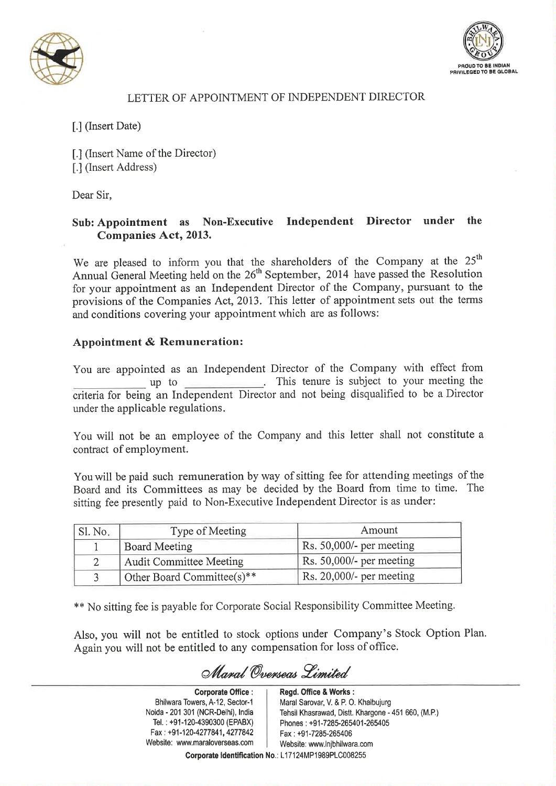



## LETTER OF APPOINTMENT OF INDEPENDENT DIRECTOR

## [.] (Insert Date)

[.] (Insert Name of the Director) [.] (Insert Address)

Dear Sir.

## Sub: Appointment as Non-Executive Independent Director under the **Companies Act, 2013.**

We are pleased to inform you that the shareholders of the Company at the 25<sup>th</sup> Annual General Meeting held on the 26<sup>th</sup> September, 2014 have passed the Resolution for your appointment as an Independent Director of the Company, pursuant to the provisions of the Companies Act, 2013. This letter of appointment sets out the terms and conditions covering your appointment which are as follows:

## **Appointment & Remuneration:**

You are appointed as an Independent Director of the Company with effect from up to This tenure is subject to your meeting the criteria for being an Independent Director and not being disqualified to be a Director under the applicable regulations.

You will not be an employee of the Company and this letter shall not constitute a contract of employment.

You will be paid such remuneration by way of sitting fee for attending meetings of the Board and its Committees as may be decided by the Board from time to time. The sitting fee presently paid to Non-Executive Independent Director is as under:

| $\mathsf{S}1.$ No. | Type of Meeting            | Amount                           |
|--------------------|----------------------------|----------------------------------|
|                    | <b>Board Meeting</b>       | Rs. 50,000/- per meeting         |
|                    | Audit Committee Meeting    | $\vert$ Rs. 50,000/- per meeting |
|                    | Other Board Committee(s)** | $\vert$ Rs. 20,000/- per meeting |

\*\* No sitting fee is payable for Corporate Social Responsibility Committee Meeting.

Also, you will not be entitled to stock options under Company's Stock Option Plan. Again you will not be entitled to any compensation for loss of office.

Manal Ovenseas Limited

**Corporate Office:** Bhilwara Towers, A-12, Sector-1 Noida - 201 301 (NCR-Delhi), India Tel.: +91-120-4390300 (EPABX) Fax: +91-120-4277841, 4277842 Website: www.maraloverseas.com

Regd. Office & Works: Maral Sarovar, V. & P. O. Khalbujurg Tehsil Khasrawad, Distt. Khargone - 451 660, (M.P.) Phones: +91-7285-265401-265405 Fax: +91-7285-265406 Website: www.lnjbhilwara.com Corporate Identification No.: L17124MP1989PLC008255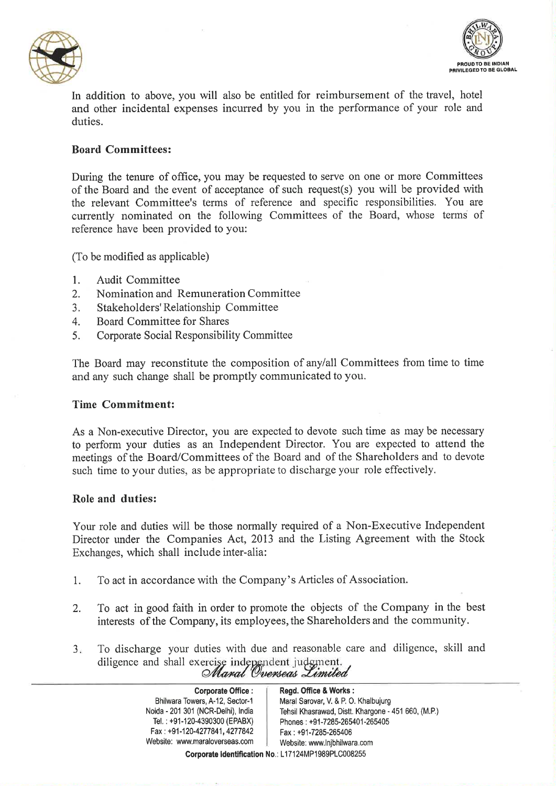



In addition to above, you will also be entitled for reimbursement of the travel, hotel and other incidental expenses incurred by you in the performance of your role and duties

## **Board Committees:**

During the tenure of office, you may be requested to serve on one or more Committees of the Board and the event of acceptance of such request(s) you will be provided with the relevant Committee's terms of reference and specific responsibilities. You are currently nominated on the following Committees of the Board, whose terms of reference have been provided to you:

(To be modified as applicable)

- $1.$ **Audit Committee**
- Nomination and Remuneration Committee  $2.$
- Stakeholders' Relationship Committee  $3.$
- $\overline{4}$ . Board Committee for Shares
- $5<sub>1</sub>$ Corporate Social Responsibility Committee

The Board may reconstitute the composition of any/all Committees from time to time and any such change shall be promptly communicated to you.

### **Time Commitment:**

As a Non-executive Director, you are expected to devote such time as may be necessary to perform your duties as an Independent Director. You are expected to attend the meetings of the Board/Committees of the Board and of the Shareholders and to devote such time to your duties, as be appropriate to discharge your role effectively.

#### Role and duties:

Your role and duties will be those normally required of a Non-Executive Independent Director under the Companies Act, 2013 and the Listing Agreement with the Stock Exchanges, which shall include inter-alia:

- To act in accordance with the Company's Articles of Association.  $1.$
- To act in good faith in order to promote the objects of the Company in the best  $2.$ interests of the Company, its employees, the Shareholders and the community.
- To discharge your duties with due and reasonable care and diligence, skill and  $3.$ diligence and shall exercise independent judgment.<br>Maral Overseas Limited

| <b>Corporate Office:</b>           | Regd. Office & Works:                               |
|------------------------------------|-----------------------------------------------------|
| Bhilwara Towers, A-12, Sector-1    | Maral Sarovar, V. & P. O. Khalbujurg                |
| Noida - 201 301 (NCR-Delhi), India | Tehsil Khasrawad, Distt. Khargone - 451 660, (M.P.) |
| Tel.: +91-120-4390300 (EPABX)      | Phones: +91-7285-265401-265405                      |
| Fax: +91-120-4277841, 4277842      | Fax: +91-7285-265406                                |
| Website: www.maraloverseas.com     | Website: www.lnibhilwara.com                        |
|                                    | Corporate Identification No.: L17124MP1989PLC008255 |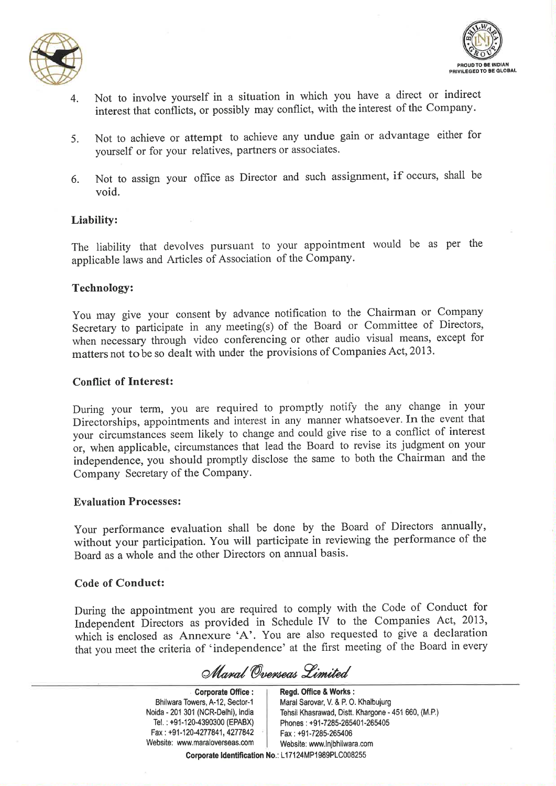



- Not to involve yourself in a situation in which you have a direct or indirect  $\overline{4}$ . interest that conflicts, or possibly may conflict, with the interest of the Company.
- Not to achieve or attempt to achieve any undue gain or advantage either for  $5<sub>1</sub>$ yourself or for your relatives, partners or associates.
- Not to assign your office as Director and such assignment, if occurs, shall be 6. void.

### Liability:

The liability that devolves pursuant to your appointment would be as per the applicable laws and Articles of Association of the Company.

### **Technology:**

You may give your consent by advance notification to the Chairman or Company Secretary to participate in any meeting(s) of the Board or Committee of Directors, when necessary through video conferencing or other audio visual means, except for matters not to be so dealt with under the provisions of Companies Act, 2013.

### **Conflict of Interest:**

During your term, you are required to promptly notify the any change in your Directorships, appointments and interest in any manner whatsoever. In the event that your circumstances seem likely to change and could give rise to a conflict of interest or, when applicable, circumstances that lead the Board to revise its judgment on your independence, you should promptly disclose the same to both the Chairman and the Company Secretary of the Company.

### **Evaluation Processes:**

Your performance evaluation shall be done by the Board of Directors annually, without your participation. You will participate in reviewing the performance of the Board as a whole and the other Directors on annual basis.

### **Code of Conduct:**

During the appointment you are required to comply with the Code of Conduct for Independent Directors as provided in Schedule IV to the Companies Act, 2013, which is enclosed as Annexure 'A'. You are also requested to give a declaration that you meet the criteria of 'independence' at the first meeting of the Board in every

Maval Overseas Limited

**Corporate Office:** Bhilwara Towers, A-12, Sector-1 Noida - 201 301 (NCR-Delhi), India Tel.: +91-120-4390300 (EPABX) Fax: +91-120-4277841, 4277842 Website: www.maraloverseas.com

Regd. Office & Works: Maral Sarovar, V. & P. O. Khalbujurg Tehsil Khasrawad, Distt. Khargone - 451 660, (M.P.) Phones: +91-7285-265401-265405 Fax: +91-7285-265406 Website: www.lnjbhilwara.com Corporate Identification No.: L17124MP1989PLC008255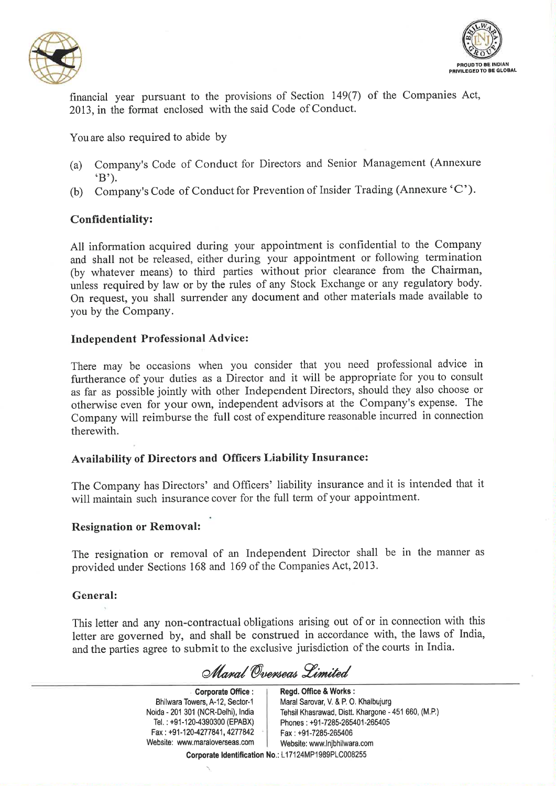



financial year pursuant to the provisions of Section 149(7) of the Companies Act, 2013, in the format enclosed with the said Code of Conduct.

You are also required to abide by

- Company's Code of Conduct for Directors and Senior Management (Annexure  $(a)$  $(B')$ .
- Company's Code of Conduct for Prevention of Insider Trading (Annexure 'C').  $(b)$

## **Confidentiality:**

All information acquired during your appointment is confidential to the Company and shall not be released, either during your appointment or following termination (by whatever means) to third parties without prior clearance from the Chairman, unless required by law or by the rules of any Stock Exchange or any regulatory body. On request, you shall surrender any document and other materials made available to you by the Company.

## **Independent Professional Advice:**

There may be occasions when you consider that you need professional advice in furtherance of your duties as a Director and it will be appropriate for you to consult as far as possible jointly with other Independent Directors, should they also choose or otherwise even for your own, independent advisors at the Company's expense. The Company will reimburse the full cost of expenditure reasonable incurred in connection therewith.

## Availability of Directors and Officers Liability Insurance:

The Company has Directors' and Officers' liability insurance and it is intended that it will maintain such insurance cover for the full term of your appointment.

### **Resignation or Removal:**

The resignation or removal of an Independent Director shall be in the manner as provided under Sections 168 and 169 of the Companies Act, 2013.

### General:

This letter and any non-contractual obligations arising out of or in connection with this letter are governed by, and shall be construed in accordance with, the laws of India, and the parties agree to submit to the exclusive jurisdiction of the courts in India.

Manal Overseas Limited

**Corporate Office:** Bhilwara Towers, A-12, Sector-1 Noida - 201 301 (NCR-Delhi), India Tel.: +91-120-4390300 (EPABX) Fax: +91-120-4277841, 4277842 Website: www.maraloverseas.com Regd. Office & Works: Maral Sarovar, V. & P. O. Khalbujurg Tehsil Khasrawad, Distt. Khargone - 451 660, (M.P.) Phones: +91-7285-265401-265405 Fax: +91-7285-265406 Website: www.lnjbhilwara.com

Corporate Identification No.: L17124MP1989PLC008255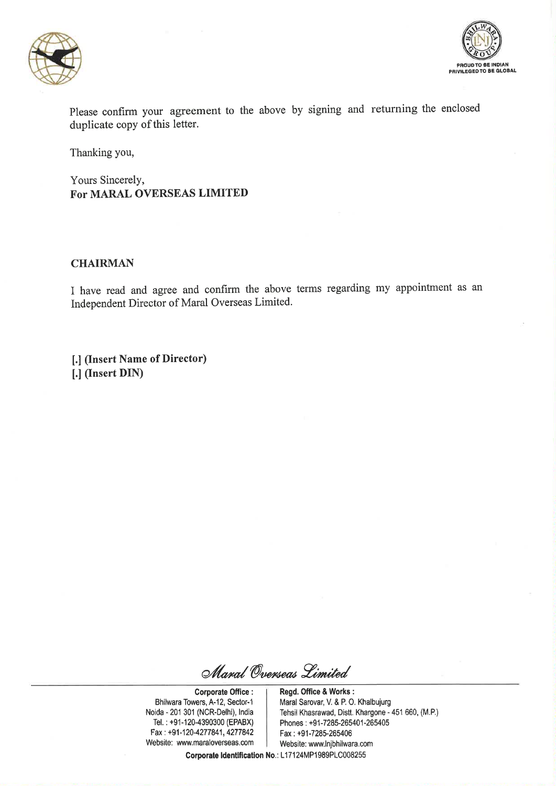



Please confirm your agreement to the above by signing and returning the enclosed duplicate copy of this letter.

Thanking you,

Yours Sincerely, For MARAL OVERSEAS LIMITED

#### **CHAIRMAN**

I have read and agree and confirm the above terms regarding my appointment as an Independent Director of Maral Overseas Limited.

[.] (Insert Name of Director) [.] (Insert DIN)

Maral Overseas Limited

**Corporate Office:** Bhilwara Towers, A-12, Sector-1 Noida - 201 301 (NCR-Delhi), India Tel.: +91-120-4390300 (EPABX) Fax: +91-120-4277841, 4277842 Website: www.maraloverseas.com

Regd. Office & Works: Maral Sarovar, V. & P. O. Khalbujurg Tehsil Khasrawad, Distt. Khargone - 451 660, (M.P.) Phones: +91-7285-265401-265405 Fax: +91-7285-265406 Website: www.lnjbhilwara.com

Corporate Identification No.: L17124MP1989PLC008255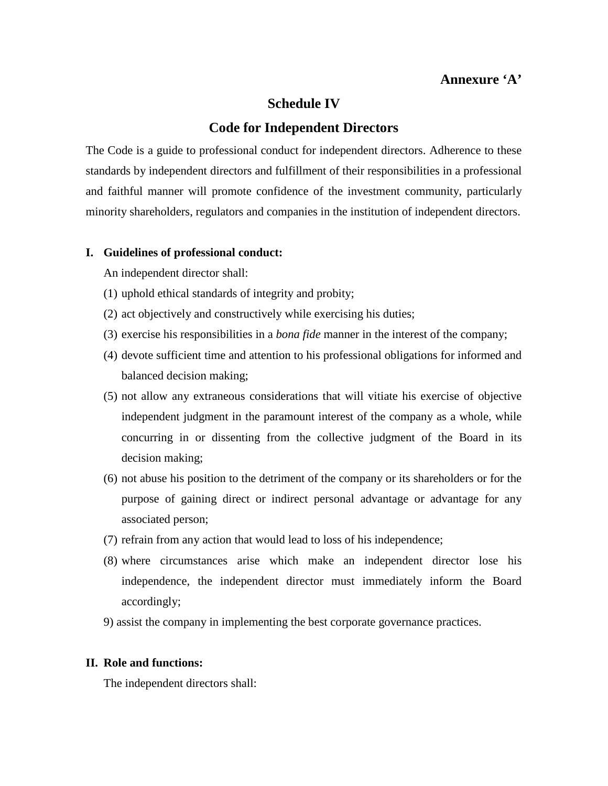## **Annexure 'A'**

## **Schedule IV**

## **Code for Independent Directors**

The Code is a guide to professional conduct for independent directors. Adherence to these standards by independent directors and fulfillment of their responsibilities in a professional and faithful manner will promote confidence of the investment community, particularly minority shareholders, regulators and companies in the institution of independent directors.

#### **I. Guidelines of professional conduct:**

An independent director shall:

- (1) uphold ethical standards of integrity and probity;
- (2) act objectively and constructively while exercising his duties;
- (3) exercise his responsibilities in a *bona fide* manner in the interest of the company;
- (4) devote sufficient time and attention to his professional obligations for informed and balanced decision making;
- (5) not allow any extraneous considerations that will vitiate his exercise of objective independent judgment in the paramount interest of the company as a whole, while concurring in or dissenting from the collective judgment of the Board in its decision making;
- (6) not abuse his position to the detriment of the company or its shareholders or for the purpose of gaining direct or indirect personal advantage or advantage for any associated person;
- (7) refrain from any action that would lead to loss of his independence;
- (8) where circumstances arise which make an independent director lose his independence, the independent director must immediately inform the Board accordingly;
- 9) assist the company in implementing the best corporate governance practices.

#### **II. Role and functions:**

The independent directors shall: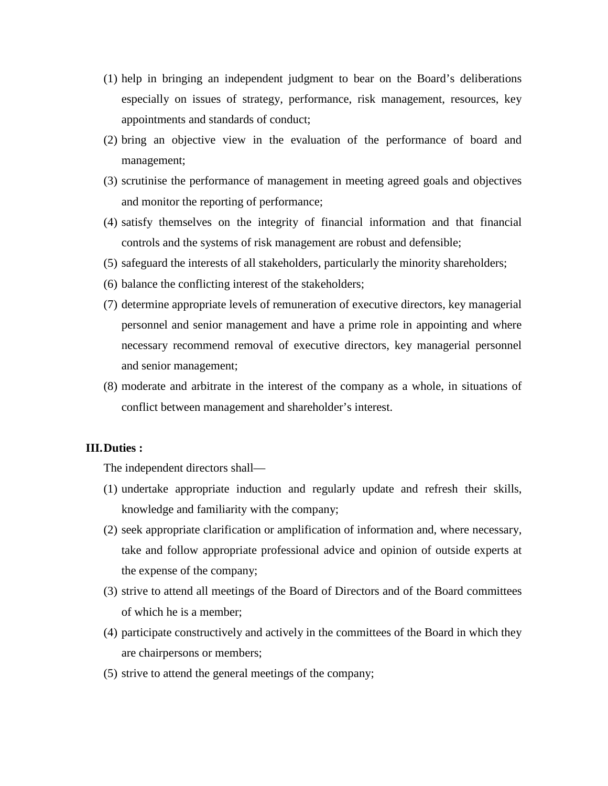- (1) help in bringing an independent judgment to bear on the Board's deliberations especially on issues of strategy, performance, risk management, resources, key appointments and standards of conduct;
- (2) bring an objective view in the evaluation of the performance of board and management;
- (3) scrutinise the performance of management in meeting agreed goals and objectives and monitor the reporting of performance;
- (4) satisfy themselves on the integrity of financial information and that financial controls and the systems of risk management are robust and defensible;
- (5) safeguard the interests of all stakeholders, particularly the minority shareholders;
- (6) balance the conflicting interest of the stakeholders;
- (7) determine appropriate levels of remuneration of executive directors, key managerial personnel and senior management and have a prime role in appointing and where necessary recommend removal of executive directors, key managerial personnel and senior management;
- (8) moderate and arbitrate in the interest of the company as a whole, in situations of conflict between management and shareholder's interest.

#### **III.Duties :**

The independent directors shall—

- (1) undertake appropriate induction and regularly update and refresh their skills, knowledge and familiarity with the company;
- (2) seek appropriate clarification or amplification of information and, where necessary, take and follow appropriate professional advice and opinion of outside experts at the expense of the company;
- (3) strive to attend all meetings of the Board of Directors and of the Board committees of which he is a member;
- (4) participate constructively and actively in the committees of the Board in which they are chairpersons or members;
- (5) strive to attend the general meetings of the company;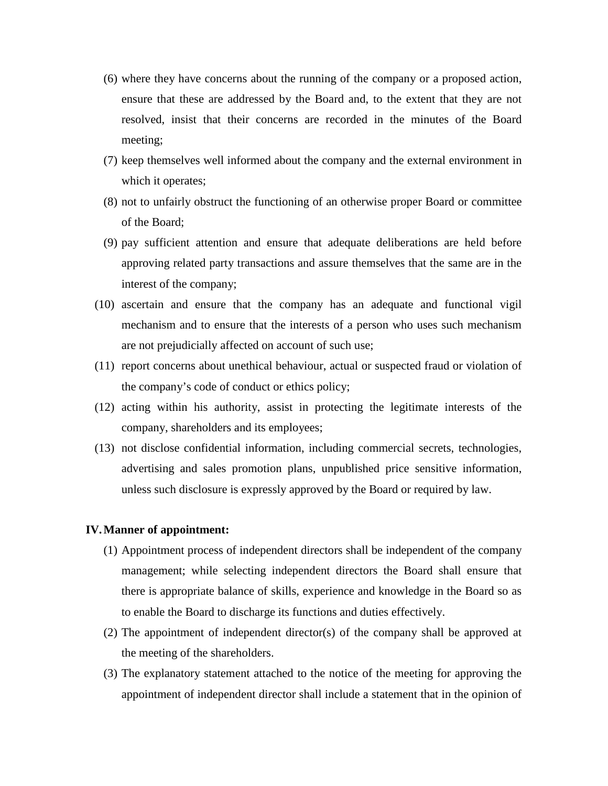- (6) where they have concerns about the running of the company or a proposed action, ensure that these are addressed by the Board and, to the extent that they are not resolved, insist that their concerns are recorded in the minutes of the Board meeting;
- (7) keep themselves well informed about the company and the external environment in which it operates;
- (8) not to unfairly obstruct the functioning of an otherwise proper Board or committee of the Board;
- (9) pay sufficient attention and ensure that adequate deliberations are held before approving related party transactions and assure themselves that the same are in the interest of the company;
- (10) ascertain and ensure that the company has an adequate and functional vigil mechanism and to ensure that the interests of a person who uses such mechanism are not prejudicially affected on account of such use;
- (11) report concerns about unethical behaviour, actual or suspected fraud or violation of the company's code of conduct or ethics policy;
- (12) acting within his authority, assist in protecting the legitimate interests of the company, shareholders and its employees;
- (13) not disclose confidential information, including commercial secrets, technologies, advertising and sales promotion plans, unpublished price sensitive information, unless such disclosure is expressly approved by the Board or required by law.

#### **IV.Manner of appointment:**

- (1) Appointment process of independent directors shall be independent of the company management; while selecting independent directors the Board shall ensure that there is appropriate balance of skills, experience and knowledge in the Board so as to enable the Board to discharge its functions and duties effectively.
- (2) The appointment of independent director(s) of the company shall be approved at the meeting of the shareholders.
- (3) The explanatory statement attached to the notice of the meeting for approving the appointment of independent director shall include a statement that in the opinion of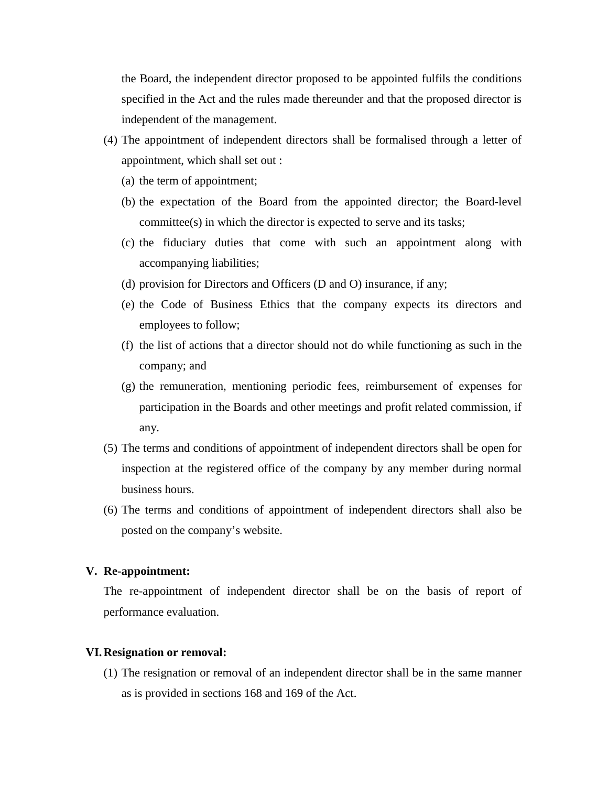the Board, the independent director proposed to be appointed fulfils the conditions specified in the Act and the rules made thereunder and that the proposed director is independent of the management.

- (4) The appointment of independent directors shall be formalised through a letter of appointment, which shall set out :
	- (a) the term of appointment;
	- (b) the expectation of the Board from the appointed director; the Board-level committee(s) in which the director is expected to serve and its tasks;
	- (c) the fiduciary duties that come with such an appointment along with accompanying liabilities;
	- (d) provision for Directors and Officers (D and O) insurance, if any;
	- (e) the Code of Business Ethics that the company expects its directors and employees to follow;
	- (f) the list of actions that a director should not do while functioning as such in the company; and
	- (g) the remuneration, mentioning periodic fees, reimbursement of expenses for participation in the Boards and other meetings and profit related commission, if any.
- (5) The terms and conditions of appointment of independent directors shall be open for inspection at the registered office of the company by any member during normal business hours.
- (6) The terms and conditions of appointment of independent directors shall also be posted on the company's website.

#### **V. Re-appointment:**

The re-appointment of independent director shall be on the basis of report of performance evaluation.

#### **VI.Resignation or removal:**

(1) The resignation or removal of an independent director shall be in the same manner as is provided in sections 168 and 169 of the Act.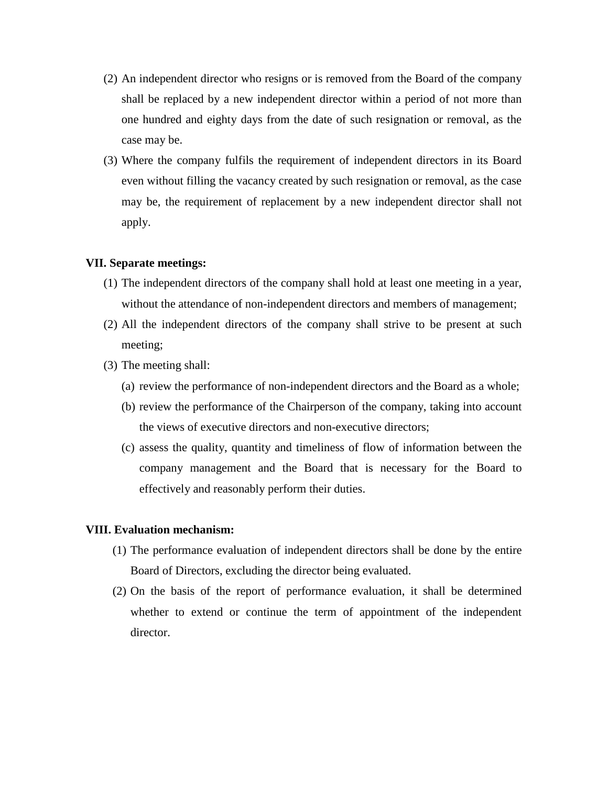- (2) An independent director who resigns or is removed from the Board of the company shall be replaced by a new independent director within a period of not more than one hundred and eighty days from the date of such resignation or removal, as the case may be.
- (3) Where the company fulfils the requirement of independent directors in its Board even without filling the vacancy created by such resignation or removal, as the case may be, the requirement of replacement by a new independent director shall not apply.

#### **VII. Separate meetings:**

- (1) The independent directors of the company shall hold at least one meeting in a year, without the attendance of non-independent directors and members of management;
- (2) All the independent directors of the company shall strive to be present at such meeting;
- (3) The meeting shall:
	- (a) review the performance of non-independent directors and the Board as a whole;
	- (b) review the performance of the Chairperson of the company, taking into account the views of executive directors and non-executive directors;
	- (c) assess the quality, quantity and timeliness of flow of information between the company management and the Board that is necessary for the Board to effectively and reasonably perform their duties.

### **VIII. Evaluation mechanism:**

- (1) The performance evaluation of independent directors shall be done by the entire Board of Directors, excluding the director being evaluated.
- (2) On the basis of the report of performance evaluation, it shall be determined whether to extend or continue the term of appointment of the independent director.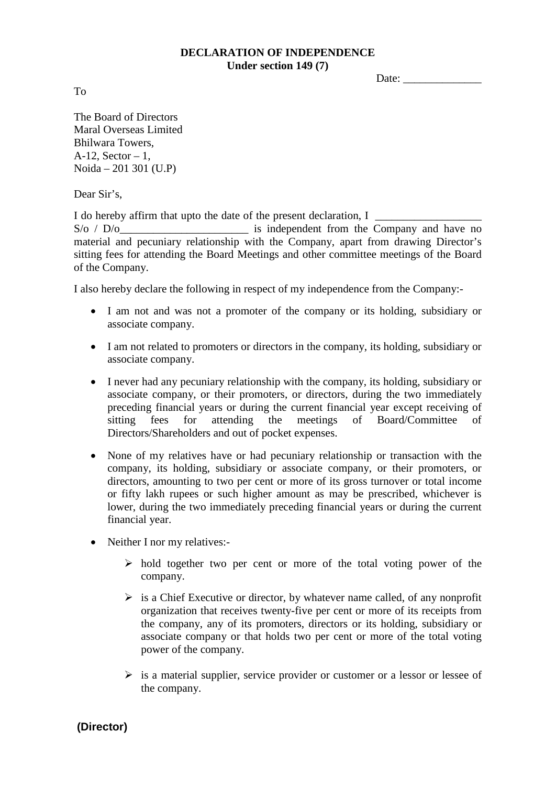## **DECLARATION OF INDEPENDENCE Under section 149 (7)**

Date:

To

The Board of Directors Maral Overseas Limited Bhilwara Towers, A-12, Sector  $-1$ , Noida – 201 301 (U.P)

Dear Sir's.

I do hereby affirm that upto the date of the present declaration, I  $S/O / D/O$  is independent from the Company and have no material and pecuniary relationship with the Company, apart from drawing Director's sitting fees for attending the Board Meetings and other committee meetings of the Board of the Company.

I also hereby declare the following in respect of my independence from the Company:-

- I am not and was not a promoter of the company or its holding, subsidiary or associate company.
- I am not related to promoters or directors in the company, its holding, subsidiary or associate company.
- I never had any pecuniary relationship with the company, its holding, subsidiary or associate company, or their promoters, or directors, during the two immediately preceding financial years or during the current financial year except receiving of sitting fees for attending the meetings of Board/Committee of Directors/Shareholders and out of pocket expenses.
- None of my relatives have or had pecuniary relationship or transaction with the company, its holding, subsidiary or associate company, or their promoters, or directors, amounting to two per cent or more of its gross turnover or total income or fifty lakh rupees or such higher amount as may be prescribed, whichever is lower, during the two immediately preceding financial years or during the current financial year.
- Neither I nor my relatives:-
	- $\triangleright$  hold together two per cent or more of the total voting power of the company.
	- $\triangleright$  is a Chief Executive or director, by whatever name called, of any nonprofit organization that receives twenty-five per cent or more of its receipts from the company, any of its promoters, directors or its holding, subsidiary or associate company or that holds two per cent or more of the total voting power of the company.
	- $\triangleright$  is a material supplier, service provider or customer or a lessor or lessee of the company.

**(Director)**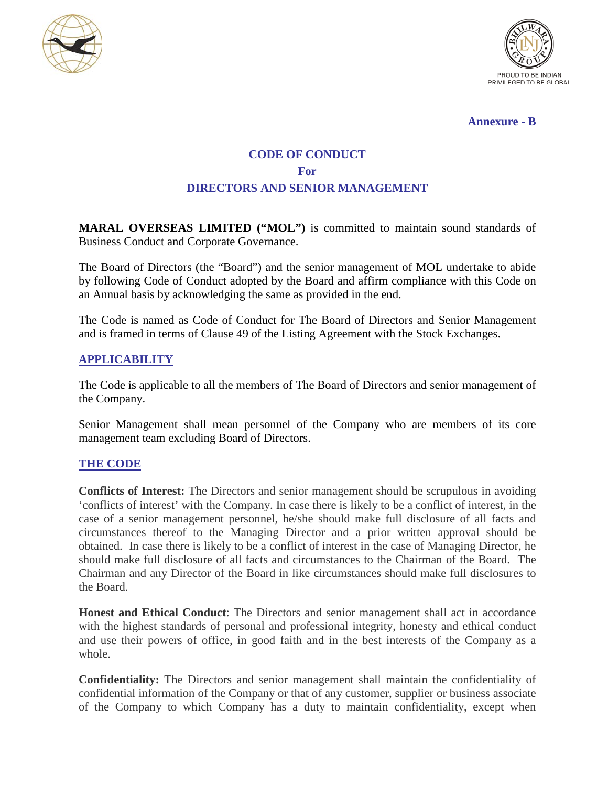



#### **Annexure - B**

# **CODE OF CONDUCT For DIRECTORS AND SENIOR MANAGEMENT**

**MARAL OVERSEAS LIMITED ("MOL")** is committed to maintain sound standards of Business Conduct and Corporate Governance.

The Board of Directors (the "Board") and the senior management of MOL undertake to abide by following Code of Conduct adopted by the Board and affirm compliance with this Code on an Annual basis by acknowledging the same as provided in the end.

The Code is named as Code of Conduct for The Board of Directors and Senior Management and is framed in terms of Clause 49 of the Listing Agreement with the Stock Exchanges.

## **APPLICABILITY**

The Code is applicable to all the members of The Board of Directors and senior management of the Company.

Senior Management shall mean personnel of the Company who are members of its core management team excluding Board of Directors.

### **THE CODE**

**Conflicts of Interest:** The Directors and senior management should be scrupulous in avoiding 'conflicts of interest' with the Company. In case there is likely to be a conflict of interest, in the case of a senior management personnel, he/she should make full disclosure of all facts and circumstances thereof to the Managing Director and a prior written approval should be obtained. In case there is likely to be a conflict of interest in the case of Managing Director, he should make full disclosure of all facts and circumstances to the Chairman of the Board. The Chairman and any Director of the Board in like circumstances should make full disclosures to the Board.

**Honest and Ethical Conduct**: The Directors and senior management shall act in accordance with the highest standards of personal and professional integrity, honesty and ethical conduct and use their powers of office, in good faith and in the best interests of the Company as a whole.

**Confidentiality:** The Directors and senior management shall maintain the confidentiality of confidential information of the Company or that of any customer, supplier or business associate of the Company to which Company has a duty to maintain confidentiality, except when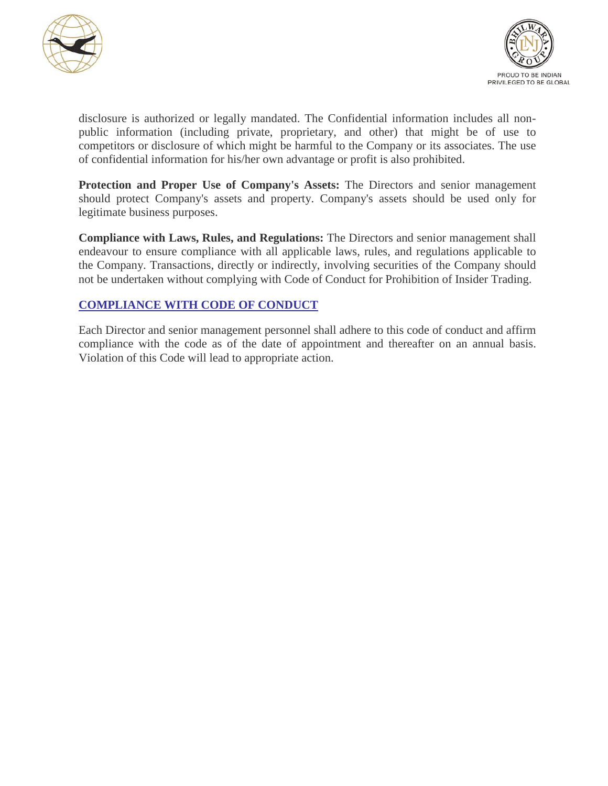



disclosure is authorized or legally mandated. The Confidential information includes all nonpublic information (including private, proprietary, and other) that might be of use to competitors or disclosure of which might be harmful to the Company or its associates. The use of confidential information for his/her own advantage or profit is also prohibited.

**Protection and Proper Use of Company's Assets:** The Directors and senior management should protect Company's assets and property. Company's assets should be used only for legitimate business purposes.

**Compliance with Laws, Rules, and Regulations:** The Directors and senior management shall endeavour to ensure compliance with all applicable laws, rules, and regulations applicable to the Company. Transactions, directly or indirectly, involving securities of the Company should not be undertaken without complying with Code of Conduct for Prohibition of Insider Trading.

## **COMPLIANCE WITH CODE OF CONDUCT**

Each Director and senior management personnel shall adhere to this code of conduct and affirm compliance with the code as of the date of appointment and thereafter on an annual basis. Violation of this Code will lead to appropriate action.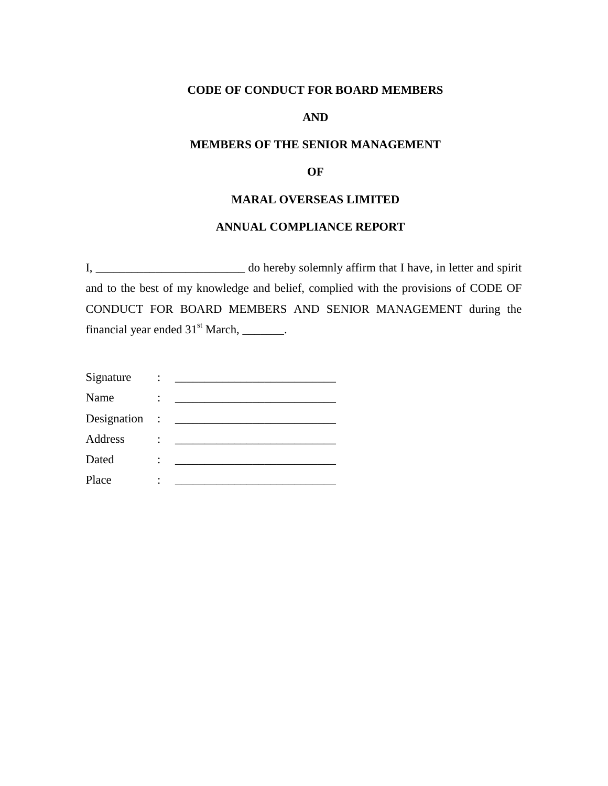## **CODE OF CONDUCT FOR BOARD MEMBERS**

### **AND**

#### **MEMBERS OF THE SENIOR MANAGEMENT**

#### **OF**

## **MARAL OVERSEAS LIMITED**

#### **ANNUAL COMPLIANCE REPORT**

I, \_\_\_\_\_\_\_\_\_\_\_\_\_\_\_\_\_\_\_\_\_\_\_\_\_ do hereby solemnly affirm that I have, in letter and spirit and to the best of my knowledge and belief, complied with the provisions of CODE OF CONDUCT FOR BOARD MEMBERS AND SENIOR MANAGEMENT during the financial year ended  $31<sup>st</sup>$  March, \_\_\_\_\_\_\_.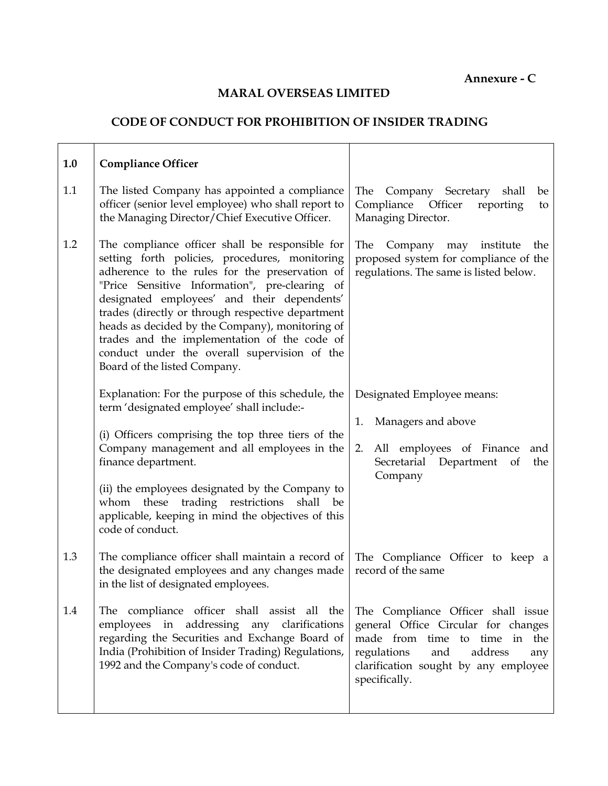**Annexure - C**

## **MARAL OVERSEAS LIMITED**

## **CODE OF CONDUCT FOR PROHIBITION OF INSIDER TRADING**

| 1.0 | <b>Compliance Officer</b>                                                                                                                                                                                                                                                                                                                                                                                                                                                                    |                                                                                                                                                                                                             |
|-----|----------------------------------------------------------------------------------------------------------------------------------------------------------------------------------------------------------------------------------------------------------------------------------------------------------------------------------------------------------------------------------------------------------------------------------------------------------------------------------------------|-------------------------------------------------------------------------------------------------------------------------------------------------------------------------------------------------------------|
| 1.1 | The listed Company has appointed a compliance<br>officer (senior level employee) who shall report to<br>the Managing Director/Chief Executive Officer.                                                                                                                                                                                                                                                                                                                                       | The<br>Company Secretary<br>shall<br>be<br>Compliance Officer<br>reporting<br>to<br>Managing Director.                                                                                                      |
| 1.2 | The compliance officer shall be responsible for<br>setting forth policies, procedures, monitoring<br>adherence to the rules for the preservation of<br>"Price Sensitive Information", pre-clearing of<br>designated employees' and their dependents'<br>trades (directly or through respective department<br>heads as decided by the Company), monitoring of<br>trades and the implementation of the code of<br>conduct under the overall supervision of the<br>Board of the listed Company. | Company may institute<br>The<br>the<br>proposed system for compliance of the<br>regulations. The same is listed below.                                                                                      |
|     | Explanation: For the purpose of this schedule, the<br>term 'designated employee' shall include:-                                                                                                                                                                                                                                                                                                                                                                                             | Designated Employee means:                                                                                                                                                                                  |
|     | (i) Officers comprising the top three tiers of the<br>Company management and all employees in the<br>finance department.                                                                                                                                                                                                                                                                                                                                                                     | Managers and above<br>1.<br>All employees of Finance<br>2.<br>and<br>Secretarial Department<br>the<br>of<br>Company                                                                                         |
|     | (ii) the employees designated by the Company to<br>these<br>trading restrictions<br>shall<br>whom<br>be<br>applicable, keeping in mind the objectives of this<br>code of conduct.                                                                                                                                                                                                                                                                                                            |                                                                                                                                                                                                             |
| 1.3 | The compliance officer shall maintain a record of<br>the designated employees and any changes made<br>in the list of designated employees.                                                                                                                                                                                                                                                                                                                                                   | The Compliance Officer to keep a<br>record of the same                                                                                                                                                      |
| 1.4 | The compliance officer shall assist all the<br>employees in addressing any clarifications<br>regarding the Securities and Exchange Board of<br>India (Prohibition of Insider Trading) Regulations,<br>1992 and the Company's code of conduct.                                                                                                                                                                                                                                                | The Compliance Officer shall issue<br>general Office Circular for changes<br>made from time to time in the<br>regulations<br>and<br>address<br>any<br>clarification sought by any employee<br>specifically. |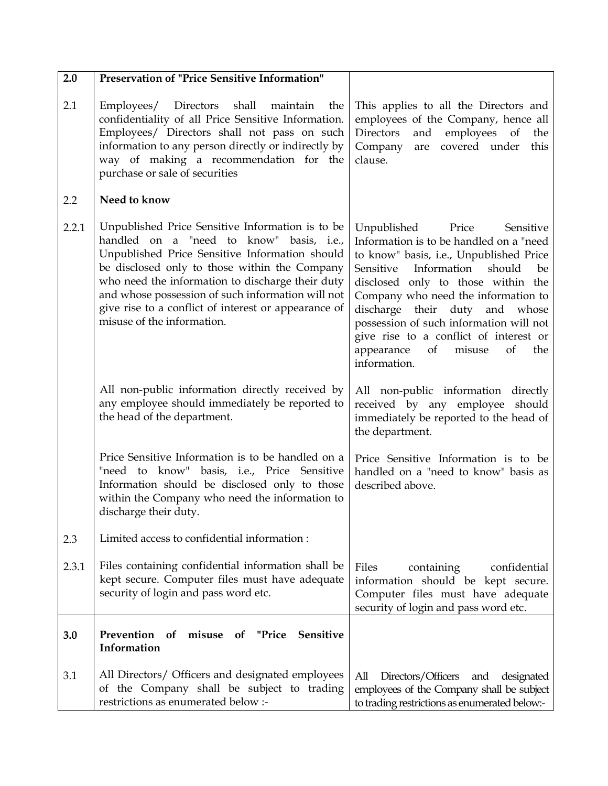| 2.0   | <b>Preservation of "Price Sensitive Information"</b>                                                                                                                                                                                                                                                                                                                                           |                                                                                                                                                                                                                                                                                                                                                                                                                              |
|-------|------------------------------------------------------------------------------------------------------------------------------------------------------------------------------------------------------------------------------------------------------------------------------------------------------------------------------------------------------------------------------------------------|------------------------------------------------------------------------------------------------------------------------------------------------------------------------------------------------------------------------------------------------------------------------------------------------------------------------------------------------------------------------------------------------------------------------------|
| 2.1   | Employees/ Directors<br>shall<br>maintain<br>the<br>confidentiality of all Price Sensitive Information.<br>Employees/ Directors shall not pass on such<br>information to any person directly or indirectly by<br>way of making a recommendation for the<br>purchase or sale of securities                                                                                                      | This applies to all the Directors and<br>employees of the Company, hence all<br>Directors<br>and employees of<br>the<br>are covered under<br>Company<br>this<br>clause.                                                                                                                                                                                                                                                      |
| 2.2   | Need to know                                                                                                                                                                                                                                                                                                                                                                                   |                                                                                                                                                                                                                                                                                                                                                                                                                              |
| 2.2.1 | Unpublished Price Sensitive Information is to be<br>handled on a "need to know" basis, i.e.,<br>Unpublished Price Sensitive Information should<br>be disclosed only to those within the Company<br>who need the information to discharge their duty<br>and whose possession of such information will not<br>give rise to a conflict of interest or appearance of<br>misuse of the information. | Sensitive<br>Unpublished Price<br>Information is to be handled on a "need<br>to know" basis, i.e., Unpublished Price<br>Sensitive Information<br>should<br>be<br>disclosed only to those within the<br>Company who need the information to<br>discharge their duty and whose<br>possession of such information will not<br>give rise to a conflict of interest or<br>appearance<br>of<br>misuse<br>of<br>the<br>information. |
|       | All non-public information directly received by<br>any employee should immediately be reported to<br>the head of the department.                                                                                                                                                                                                                                                               | All non-public information directly<br>received by any employee should<br>immediately be reported to the head of<br>the department.                                                                                                                                                                                                                                                                                          |
|       | Price Sensitive Information is to be handled on a<br>"need to know" basis, i.e., Price Sensitive<br>Information should be disclosed only to those<br>within the Company who need the information to<br>discharge their duty.                                                                                                                                                                   | Price Sensitive Information is to be<br>handled on a "need to know" basis as<br>described above.                                                                                                                                                                                                                                                                                                                             |
| 2.3   | Limited access to confidential information:                                                                                                                                                                                                                                                                                                                                                    |                                                                                                                                                                                                                                                                                                                                                                                                                              |
| 2.3.1 | Files containing confidential information shall be<br>kept secure. Computer files must have adequate<br>security of login and pass word etc.                                                                                                                                                                                                                                                   | Files<br>confidential<br>containing<br>information should be kept secure.<br>Computer files must have adequate<br>security of login and pass word etc.                                                                                                                                                                                                                                                                       |
| 3.0   | Prevention of<br>misuse<br>of "Price<br>Sensitive<br>Information                                                                                                                                                                                                                                                                                                                               |                                                                                                                                                                                                                                                                                                                                                                                                                              |
| 3.1   | All Directors/ Officers and designated employees<br>of the Company shall be subject to trading<br>restrictions as enumerated below :-                                                                                                                                                                                                                                                          | All<br>Directors/Officers<br>and<br>designated<br>employees of the Company shall be subject<br>to trading restrictions as enumerated below:-                                                                                                                                                                                                                                                                                 |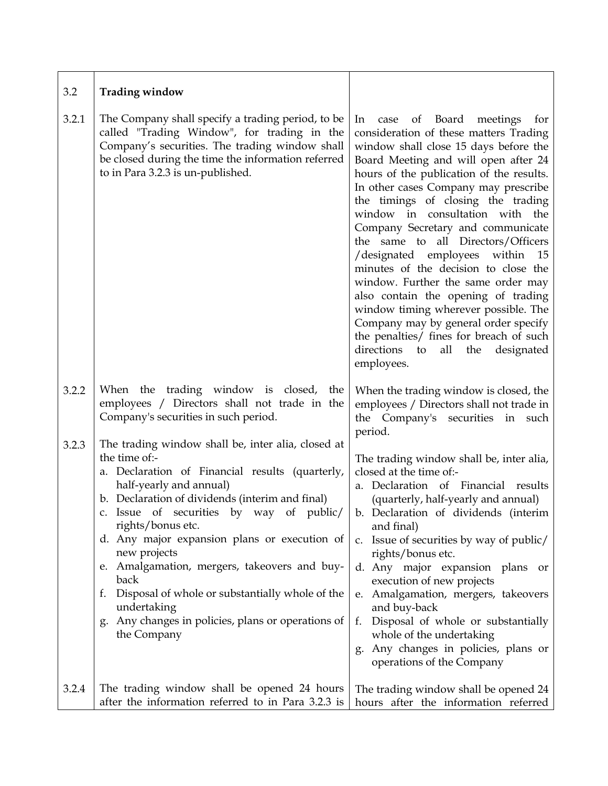| 3.2   | <b>Trading window</b>                                                                                                                                                                                                                                                                                                                                                                                                                                                                                                                         |                                                                                                                                                                                                                                                                                                                                                                                                                                                                                                                                                                                                                                                                                                                                                                    |
|-------|-----------------------------------------------------------------------------------------------------------------------------------------------------------------------------------------------------------------------------------------------------------------------------------------------------------------------------------------------------------------------------------------------------------------------------------------------------------------------------------------------------------------------------------------------|--------------------------------------------------------------------------------------------------------------------------------------------------------------------------------------------------------------------------------------------------------------------------------------------------------------------------------------------------------------------------------------------------------------------------------------------------------------------------------------------------------------------------------------------------------------------------------------------------------------------------------------------------------------------------------------------------------------------------------------------------------------------|
| 3.2.1 | The Company shall specify a trading period, to be<br>called "Trading Window", for trading in the<br>Company's securities. The trading window shall<br>be closed during the time the information referred<br>to in Para 3.2.3 is un-published.                                                                                                                                                                                                                                                                                                 | of Board<br>case<br>meetings<br>In<br>for<br>consideration of these matters Trading<br>window shall close 15 days before the<br>Board Meeting and will open after 24<br>hours of the publication of the results.<br>In other cases Company may prescribe<br>the timings of closing the trading<br>window in consultation with the<br>Company Secretary and communicate<br>the same to all Directors/Officers<br>/designated employees within<br>- 15<br>minutes of the decision to close the<br>window. Further the same order may<br>also contain the opening of trading<br>window timing wherever possible. The<br>Company may by general order specify<br>the penalties/ fines for breach of such<br>directions<br>all<br>the<br>designated<br>to<br>employees. |
| 3.2.2 | When the trading window is closed, the<br>employees / Directors shall not trade in the<br>Company's securities in such period.                                                                                                                                                                                                                                                                                                                                                                                                                | When the trading window is closed, the<br>employees / Directors shall not trade in<br>the Company's securities in such<br>period.                                                                                                                                                                                                                                                                                                                                                                                                                                                                                                                                                                                                                                  |
| 3.2.3 | The trading window shall be, inter alia, closed at<br>the time of:-<br>a. Declaration of Financial results (quarterly,<br>half-yearly and annual)<br>b. Declaration of dividends (interim and final)<br>c. Issue of securities by way of public/<br>rights/bonus etc.<br>d. Any major expansion plans or execution of<br>new projects<br>e. Amalgamation, mergers, takeovers and buy-<br>back<br>Disposal of whole or substantially whole of the<br>f.<br>undertaking<br>Any changes in policies, plans or operations of<br>g.<br>the Company | The trading window shall be, inter alia,<br>closed at the time of:-<br>a. Declaration of Financial results<br>(quarterly, half-yearly and annual)<br>b. Declaration of dividends (interim<br>and final)<br>Issue of securities by way of public/<br>c.<br>rights/bonus etc.<br>d. Any major expansion plans or<br>execution of new projects<br>e. Amalgamation, mergers, takeovers<br>and buy-back<br>Disposal of whole or substantially<br>f.<br>whole of the undertaking<br>Any changes in policies, plans or<br>g.<br>operations of the Company                                                                                                                                                                                                                 |
| 3.2.4 | The trading window shall be opened 24 hours<br>after the information referred to in Para 3.2.3 is                                                                                                                                                                                                                                                                                                                                                                                                                                             | The trading window shall be opened 24<br>hours after the information referred                                                                                                                                                                                                                                                                                                                                                                                                                                                                                                                                                                                                                                                                                      |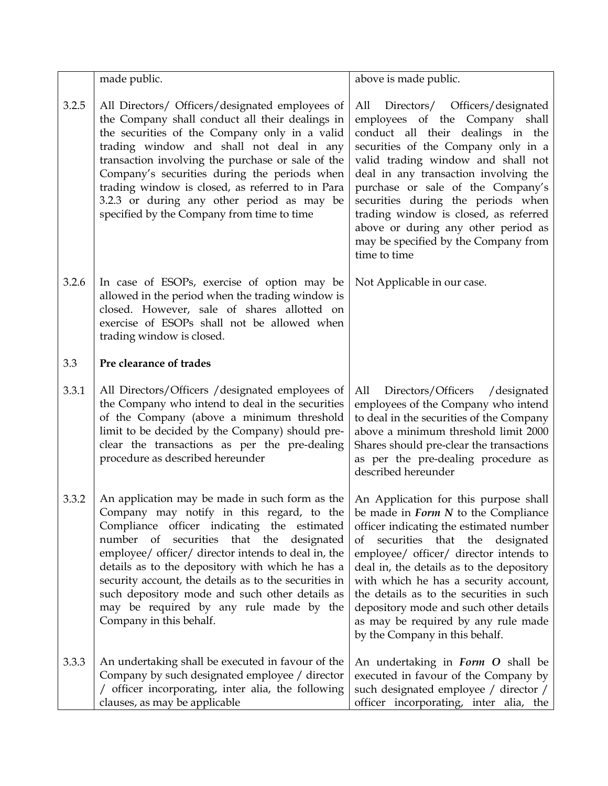|       | made public.                                                                                                                                                                                                                                                                                                                                                                                                                                                                                                                                                           | above is made public.                                                                                                                                                                                                                                                                                                                                                                                                                                 |
|-------|------------------------------------------------------------------------------------------------------------------------------------------------------------------------------------------------------------------------------------------------------------------------------------------------------------------------------------------------------------------------------------------------------------------------------------------------------------------------------------------------------------------------------------------------------------------------|-------------------------------------------------------------------------------------------------------------------------------------------------------------------------------------------------------------------------------------------------------------------------------------------------------------------------------------------------------------------------------------------------------------------------------------------------------|
| 3.2.5 | All Directors/ Officers/designated employees of<br>the Company shall conduct all their dealings in<br>the securities of the Company only in a valid<br>trading window and shall not deal in any<br>transaction involving the purchase or sale of the<br>Company's securities during the periods when<br>trading window is closed, as referred to in Para<br>3.2.3 or during any other period as may be<br>specified by the Company from time to time                                                                                                                   | Directors/ Officers/designated<br>All<br>employees of the Company shall<br>conduct all their dealings in the<br>securities of the Company only in a<br>valid trading window and shall not<br>deal in any transaction involving the<br>purchase or sale of the Company's<br>securities during the periods when<br>trading window is closed, as referred<br>above or during any other period as<br>may be specified by the Company from<br>time to time |
| 3.2.6 | In case of ESOPs, exercise of option may be<br>allowed in the period when the trading window is<br>closed. However, sale of shares allotted on<br>exercise of ESOPs shall not be allowed when<br>trading window is closed.                                                                                                                                                                                                                                                                                                                                             | Not Applicable in our case.                                                                                                                                                                                                                                                                                                                                                                                                                           |
| 3.3   | Pre clearance of trades                                                                                                                                                                                                                                                                                                                                                                                                                                                                                                                                                |                                                                                                                                                                                                                                                                                                                                                                                                                                                       |
| 3.3.1 | All Directors/Officers / designated employees of<br>the Company who intend to deal in the securities<br>of the Company (above a minimum threshold<br>limit to be decided by the Company) should pre-<br>clear the transactions as per the pre-dealing<br>procedure as described hereunder                                                                                                                                                                                                                                                                              | Directors/Officers<br>All<br>/designated<br>employees of the Company who intend<br>to deal in the securities of the Company<br>above a minimum threshold limit 2000<br>Shares should pre-clear the transactions<br>as per the pre-dealing procedure as<br>described hereunder                                                                                                                                                                         |
| 3.3.2 | An application may be made in such form as the $ $ An Application for this purpose shall<br>Company may notify in this regard, to the be made in Form N to the Compliance<br>Compliance officer indicating the estimated<br>number of<br>securities that the<br>designated<br>employee/ officer/ director intends to deal in, the<br>details as to the depository with which he has a<br>security account, the details as to the securities in<br>such depository mode and such other details as<br>may be required by any rule made by the<br>Company in this behalf. | officer indicating the estimated number<br>securities that the<br>designated<br>of<br>employee/ officer/ director intends to<br>deal in, the details as to the depository<br>with which he has a security account,<br>the details as to the securities in such<br>depository mode and such other details<br>as may be required by any rule made<br>by the Company in this behalf.                                                                     |
| 3.3.3 | An undertaking shall be executed in favour of the<br>Company by such designated employee / director<br>/ officer incorporating, inter alia, the following<br>clauses, as may be applicable                                                                                                                                                                                                                                                                                                                                                                             | An undertaking in <i>Form O</i> shall be<br>executed in favour of the Company by<br>such designated employee / director /<br>officer incorporating, inter alia, the                                                                                                                                                                                                                                                                                   |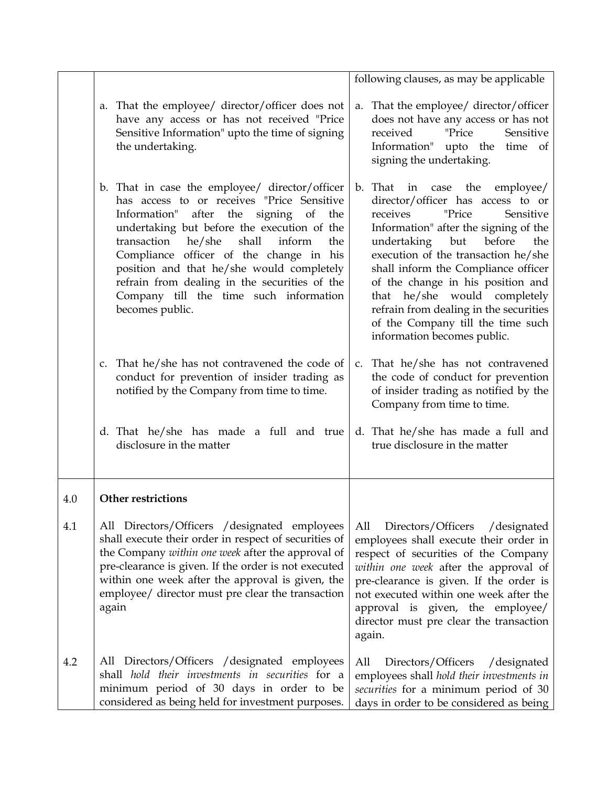|     |                                                                                                                                                                                                                                                                                                                                                                                                                                               | following clauses, as may be applicable                                                                                                                                                                                                                                                                                                                                                                                                                         |
|-----|-----------------------------------------------------------------------------------------------------------------------------------------------------------------------------------------------------------------------------------------------------------------------------------------------------------------------------------------------------------------------------------------------------------------------------------------------|-----------------------------------------------------------------------------------------------------------------------------------------------------------------------------------------------------------------------------------------------------------------------------------------------------------------------------------------------------------------------------------------------------------------------------------------------------------------|
|     | That the employee/ director/officer does not<br>a.<br>have any access or has not received "Price<br>Sensitive Information" upto the time of signing<br>the undertaking.                                                                                                                                                                                                                                                                       | That the employee/ director/officer<br>a.<br>does not have any access or has not<br>received<br>"Price<br>Sensitive<br>Information" upto the time of<br>signing the undertaking.                                                                                                                                                                                                                                                                                |
|     | b. That in case the employee/ director/officer<br>has access to or receives "Price Sensitive<br>Information" after the signing of the<br>undertaking but before the execution of the<br>transaction<br>shall<br>he/she<br>inform<br>the<br>Compliance officer of the change in his<br>position and that he/she would completely<br>refrain from dealing in the securities of the<br>Company till the time such information<br>becomes public. | b. That<br>case the<br>employee/<br>in<br>director/officer has access to or<br>receives<br>"Price<br>Sensitive<br>Information" after the signing of the<br>undertaking<br>but<br>before<br>the<br>execution of the transaction he/she<br>shall inform the Compliance officer<br>of the change in his position and<br>that he/she would completely<br>refrain from dealing in the securities<br>of the Company till the time such<br>information becomes public. |
|     | c. That he/she has not contravened the code of<br>conduct for prevention of insider trading as<br>notified by the Company from time to time.                                                                                                                                                                                                                                                                                                  | c. That he/she has not contravened<br>the code of conduct for prevention<br>of insider trading as notified by the<br>Company from time to time.                                                                                                                                                                                                                                                                                                                 |
|     | d. That he/she has made a full and true<br>disclosure in the matter                                                                                                                                                                                                                                                                                                                                                                           | d. That he/she has made a full and<br>true disclosure in the matter                                                                                                                                                                                                                                                                                                                                                                                             |
| 4.0 | <b>Other restrictions</b>                                                                                                                                                                                                                                                                                                                                                                                                                     |                                                                                                                                                                                                                                                                                                                                                                                                                                                                 |
| 4.1 | All Directors/Officers / designated employees<br>shall execute their order in respect of securities of<br>the Company within one week after the approval of<br>pre-clearance is given. If the order is not executed<br>within one week after the approval is given, the<br>employee/ director must pre clear the transaction<br>again                                                                                                         | Directors/Officers<br>All<br>/designated<br>employees shall execute their order in<br>respect of securities of the Company<br>within one week after the approval of<br>pre-clearance is given. If the order is<br>not executed within one week after the<br>approval is given, the employee/<br>director must pre clear the transaction<br>again.                                                                                                               |
| 4.2 | All Directors/Officers / designated employees<br>shall hold their investments in securities for a<br>minimum period of 30 days in order to be<br>considered as being held for investment purposes.                                                                                                                                                                                                                                            | Directors/Officers<br>/designated<br>All<br>employees shall hold their investments in<br>securities for a minimum period of 30<br>days in order to be considered as being                                                                                                                                                                                                                                                                                       |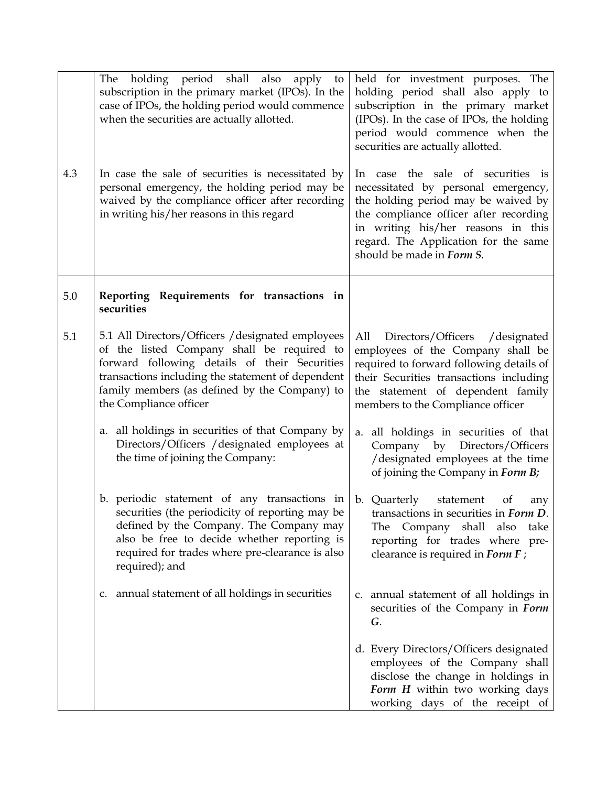| 4.3 | The holding period shall also apply<br>to<br>subscription in the primary market (IPOs). In the<br>case of IPOs, the holding period would commence<br>when the securities are actually allotted.<br>In case the sale of securities is necessitated by                             | held for investment purposes. The<br>holding period shall also apply to<br>subscription in the primary market<br>(IPOs). In the case of IPOs, the holding<br>period would commence when the<br>securities are actually allotted.<br>In case the sale of securities is |
|-----|----------------------------------------------------------------------------------------------------------------------------------------------------------------------------------------------------------------------------------------------------------------------------------|-----------------------------------------------------------------------------------------------------------------------------------------------------------------------------------------------------------------------------------------------------------------------|
|     | personal emergency, the holding period may be<br>waived by the compliance officer after recording<br>in writing his/her reasons in this regard                                                                                                                                   | necessitated by personal emergency,<br>the holding period may be waived by<br>the compliance officer after recording<br>in writing his/her reasons in this<br>regard. The Application for the same<br>should be made in Form S.                                       |
| 5.0 | Reporting Requirements for transactions in<br>securities                                                                                                                                                                                                                         |                                                                                                                                                                                                                                                                       |
| 5.1 | 5.1 All Directors/Officers / designated employees<br>of the listed Company shall be required to<br>forward following details of their Securities<br>transactions including the statement of dependent<br>family members (as defined by the Company) to<br>the Compliance officer | Directors/Officers<br>All<br>/designated<br>employees of the Company shall be<br>required to forward following details of<br>their Securities transactions including<br>the statement of dependent family<br>members to the Compliance officer                        |
|     | a. all holdings in securities of that Company by<br>Directors/Officers / designated employees at<br>the time of joining the Company:                                                                                                                                             | a. all holdings in securities of that<br>Company by Directors/Officers<br>/designated employees at the time<br>of joining the Company in Form B;                                                                                                                      |
|     | b. periodic statement of any transactions in<br>securities (the periodicity of reporting may be<br>defined by the Company. The Company may<br>also be free to decide whether reporting is<br>required for trades where pre-clearance is also<br>required); and                   | b. Quarterly<br>statement<br>of<br>any<br>transactions in securities in Form D.<br>The Company shall also take<br>reporting for trades where pre-<br>clearance is required in Form F;                                                                                 |
|     | c. annual statement of all holdings in securities                                                                                                                                                                                                                                | c. annual statement of all holdings in<br>securities of the Company in Form<br>G.                                                                                                                                                                                     |
|     |                                                                                                                                                                                                                                                                                  | d. Every Directors/Officers designated<br>employees of the Company shall<br>disclose the change in holdings in<br>Form H within two working days<br>working days of the receipt of                                                                                    |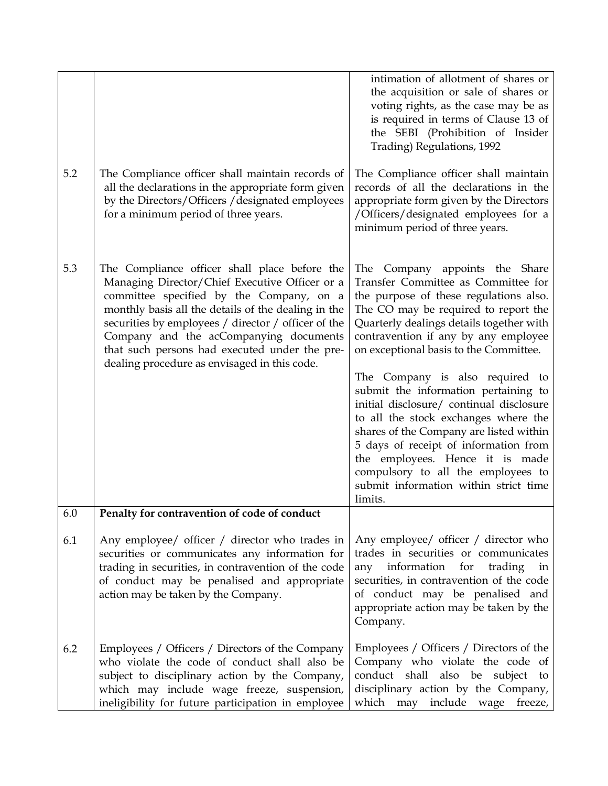|     |                                                                                                                                                                                                                                                                                                                                                                                                      | intimation of allotment of shares or<br>the acquisition or sale of shares or<br>voting rights, as the case may be as<br>is required in terms of Clause 13 of<br>the SEBI (Prohibition of Insider<br>Trading) Regulations, 1992                                                                                                                                               |
|-----|------------------------------------------------------------------------------------------------------------------------------------------------------------------------------------------------------------------------------------------------------------------------------------------------------------------------------------------------------------------------------------------------------|------------------------------------------------------------------------------------------------------------------------------------------------------------------------------------------------------------------------------------------------------------------------------------------------------------------------------------------------------------------------------|
| 5.2 | The Compliance officer shall maintain records of<br>all the declarations in the appropriate form given<br>by the Directors/Officers / designated employees<br>for a minimum period of three years.                                                                                                                                                                                                   | The Compliance officer shall maintain<br>records of all the declarations in the<br>appropriate form given by the Directors<br>/Officers/designated employees for a<br>minimum period of three years.                                                                                                                                                                         |
| 5.3 | The Compliance officer shall place before the<br>Managing Director/Chief Executive Officer or a<br>committee specified by the Company, on a<br>monthly basis all the details of the dealing in the<br>securities by employees / director / officer of the<br>Company and the acCompanying documents<br>that such persons had executed under the pre-<br>dealing procedure as envisaged in this code. | Company appoints the Share<br>The<br>Transfer Committee as Committee for<br>the purpose of these regulations also.<br>The CO may be required to report the<br>Quarterly dealings details together with<br>contravention if any by any employee<br>on exceptional basis to the Committee.                                                                                     |
|     |                                                                                                                                                                                                                                                                                                                                                                                                      | The Company is also required to<br>submit the information pertaining to<br>initial disclosure/ continual disclosure<br>to all the stock exchanges where the<br>shares of the Company are listed within<br>5 days of receipt of information from<br>the employees. Hence it is made<br>compulsory to all the employees to<br>submit information within strict time<br>limits. |
| 6.0 | Penalty for contravention of code of conduct                                                                                                                                                                                                                                                                                                                                                         |                                                                                                                                                                                                                                                                                                                                                                              |
| 6.1 | Any employee/ officer / director who trades in<br>securities or communicates any information for<br>trading in securities, in contravention of the code<br>of conduct may be penalised and appropriate<br>action may be taken by the Company.                                                                                                                                                        | Any employee/ officer / director who<br>trades in securities or communicates<br>information<br>for<br>trading<br>any<br>in<br>securities, in contravention of the code<br>of conduct may be penalised and<br>appropriate action may be taken by the<br>Company.                                                                                                              |
| 6.2 | Employees / Officers / Directors of the Company<br>who violate the code of conduct shall also be<br>subject to disciplinary action by the Company,<br>which may include wage freeze, suspension,<br>ineligibility for future participation in employee                                                                                                                                               | Employees / Officers / Directors of the<br>Company who violate the code of<br>conduct shall<br>also be subject<br>to<br>disciplinary action by the Company,<br>which may<br>include<br>wage<br>freeze,                                                                                                                                                                       |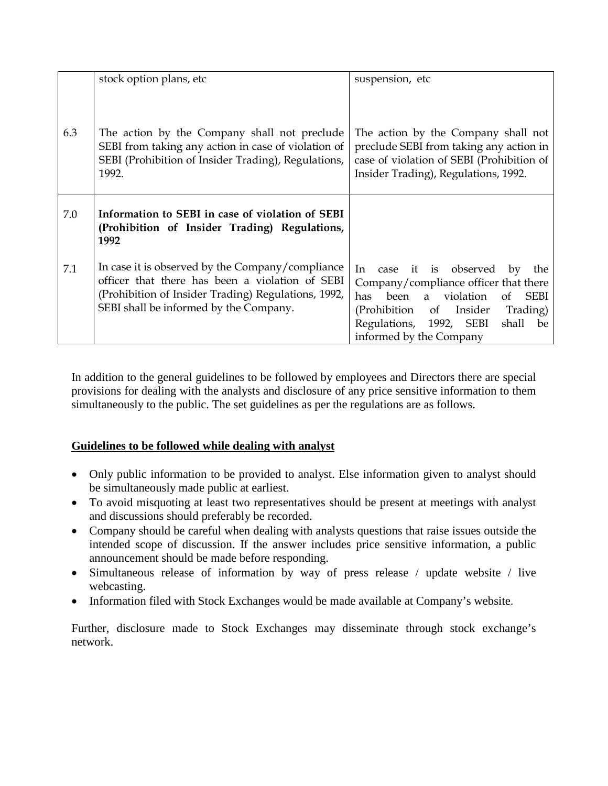|     | stock option plans, etc                                                                                                                                                                              | suspension, etc                                                                                                                                                                                                                   |
|-----|------------------------------------------------------------------------------------------------------------------------------------------------------------------------------------------------------|-----------------------------------------------------------------------------------------------------------------------------------------------------------------------------------------------------------------------------------|
| 6.3 | The action by the Company shall not preclude<br>SEBI from taking any action in case of violation of<br>SEBI (Prohibition of Insider Trading), Regulations,<br>1992.                                  | The action by the Company shall not<br>preclude SEBI from taking any action in<br>case of violation of SEBI (Prohibition of<br>Insider Trading), Regulations, 1992.                                                               |
| 7.0 | Information to SEBI in case of violation of SEBI<br>(Prohibition of Insider Trading) Regulations,<br>1992                                                                                            |                                                                                                                                                                                                                                   |
| 7.1 | In case it is observed by the Company/compliance<br>officer that there has been a violation of SEBI<br>(Prohibition of Insider Trading) Regulations, 1992,<br>SEBI shall be informed by the Company. | case it is observed<br>In<br>by<br>the<br>Company/compliance officer that there<br>of SEBI<br>been a violation<br>has<br>(Prohibition of Insider<br>Trading)<br>Regulations, 1992, SEBI<br>shall<br>be<br>informed by the Company |

In addition to the general guidelines to be followed by employees and Directors there are special provisions for dealing with the analysts and disclosure of any price sensitive information to them simultaneously to the public. The set guidelines as per the regulations are as follows.

## **Guidelines to be followed while dealing with analyst**

- Only public information to be provided to analyst. Else information given to analyst should be simultaneously made public at earliest.
- To avoid misquoting at least two representatives should be present at meetings with analyst and discussions should preferably be recorded.
- Company should be careful when dealing with analysts questions that raise issues outside the intended scope of discussion. If the answer includes price sensitive information, a public announcement should be made before responding.
- Simultaneous release of information by way of press release / update website / live webcasting.
- Information filed with Stock Exchanges would be made available at Company's website.

Further, disclosure made to Stock Exchanges may disseminate through stock exchange's network.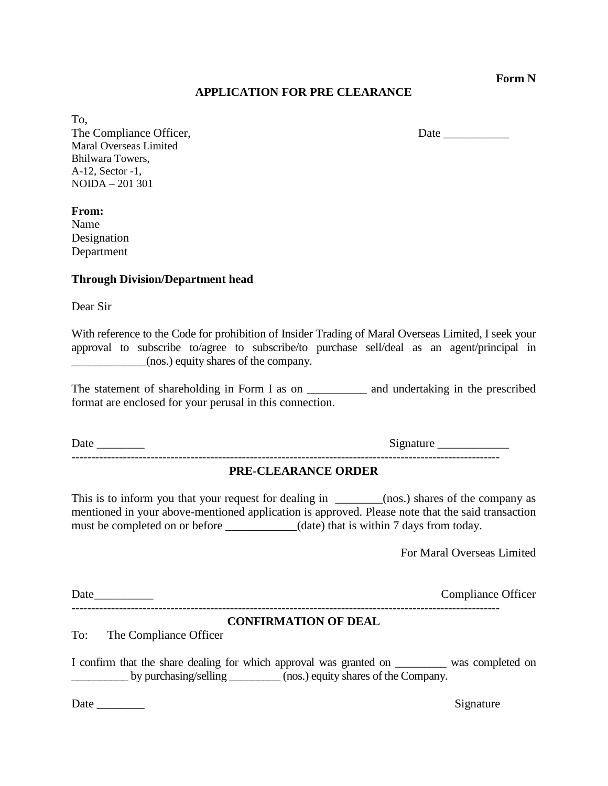**Form N**

### **APPLICATION FOR PRE CLEARANCE**

To, The Compliance Officer, Date Maral Overseas Limited Bhilwara Towers, A-12, Sector -1, NOIDA – 201 301

**From:**

Name Designation Department

#### **Through Division/Department head**

Dear Sir

With reference to the Code for prohibition of Insider Trading of Maral Overseas Limited, I seek your approval to subscribe to/agree to subscribe/to purchase sell/deal as an agent/principal in \_\_\_\_\_\_\_\_\_\_\_\_\_(nos.) equity shares of the company.

The statement of shareholding in Form I as on \_\_\_\_\_\_\_\_\_\_\_\_ and undertaking in the prescribed format are enclosed for your perusal in this connection.

Date \_\_\_\_\_\_\_\_ Signature \_\_\_\_\_\_\_\_\_\_\_\_

#### **PRE-CLEARANCE ORDER**

------------------------------------------------------------------------------------------------------------

This is to inform you that your request for dealing in \_\_\_\_\_\_\_(nos.) shares of the company as mentioned in your above-mentioned application is approved. Please note that the said transaction must be completed on or before \_\_\_\_\_\_\_\_\_\_(date) that is within 7 days from today.

For Maral Overseas Limited

| Date | mhance <b>( )</b> t<br>)††1cer |
|------|--------------------------------|
|      |                                |

#### **CONFIRMATION OF DEAL**

To: The Compliance Officer

I confirm that the share dealing for which approval was granted on was completed on by purchasing/selling \_\_\_\_\_\_\_\_ (nos.) equity shares of the Company.

Date \_\_\_\_\_\_\_\_ Signature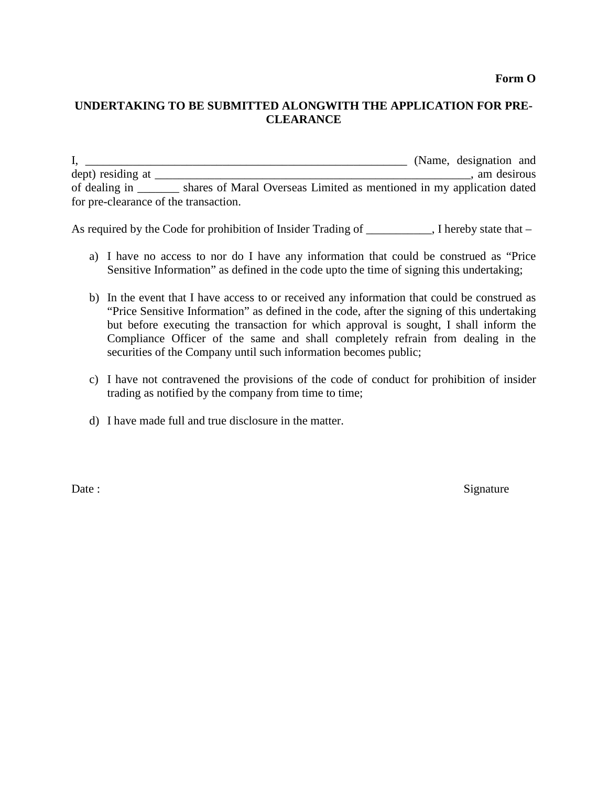## **UNDERTAKING TO BE SUBMITTED ALONGWITH THE APPLICATION FOR PRE-CLEARANCE**

I, \_\_\_\_\_\_\_\_\_\_\_\_\_\_\_\_\_\_\_\_\_\_\_\_\_\_\_\_\_\_\_\_\_\_\_\_\_\_\_\_\_\_\_\_\_\_\_\_\_\_\_\_\_\_ (Name, designation and dept) residing at \_\_\_\_\_\_\_\_\_\_\_\_\_\_\_\_\_\_\_\_\_\_\_\_\_\_\_\_\_\_\_\_\_\_\_\_\_\_\_\_\_\_\_\_\_\_\_\_\_\_\_\_\_, am desirous of dealing in \_\_\_\_\_\_\_ shares of Maral Overseas Limited as mentioned in my application dated for pre-clearance of the transaction.

As required by the Code for prohibition of Insider Trading of \_\_\_\_\_\_\_\_, I hereby state that –

- a) I have no access to nor do I have any information that could be construed as "Price Sensitive Information" as defined in the code upto the time of signing this undertaking;
- b) In the event that I have access to or received any information that could be construed as "Price Sensitive Information" as defined in the code, after the signing of this undertaking but before executing the transaction for which approval is sought, I shall inform the Compliance Officer of the same and shall completely refrain from dealing in the securities of the Company until such information becomes public;
- c) I have not contravened the provisions of the code of conduct for prohibition of insider trading as notified by the company from time to time;
- d) I have made full and true disclosure in the matter.

Date : Signature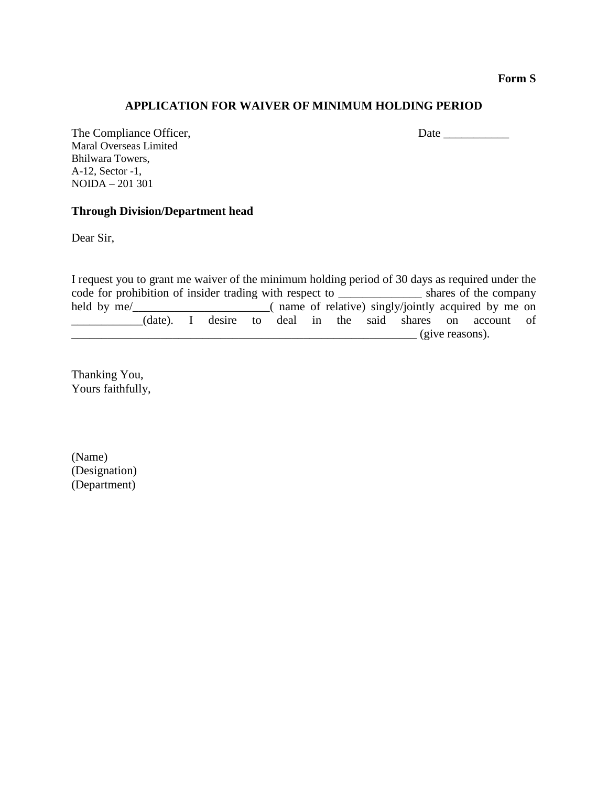**Form S**

### **APPLICATION FOR WAIVER OF MINIMUM HOLDING PERIOD**

The Compliance Officer, Date \_\_\_\_\_\_\_\_\_\_\_ Maral Overseas Limited Bhilwara Towers, A-12, Sector -1, NOIDA – 201 301

### **Through Division/Department head**

Dear Sir,

I request you to grant me waiver of the minimum holding period of 30 days as required under the code for prohibition of insider trading with respect to \_\_\_\_\_\_\_\_\_\_\_\_\_\_ shares of the company held by me/\_\_\_\_\_\_\_\_\_\_\_\_\_\_\_\_\_\_\_\_( name of relative) singly/jointly acquired by me on \_\_\_\_\_\_\_\_\_\_\_\_(date). I desire to deal in the said shares on account of  $\frac{1}{\sqrt{2\pi}}$  (give reasons).

Thanking You, Yours faithfully,

(Name) (Designation) (Department)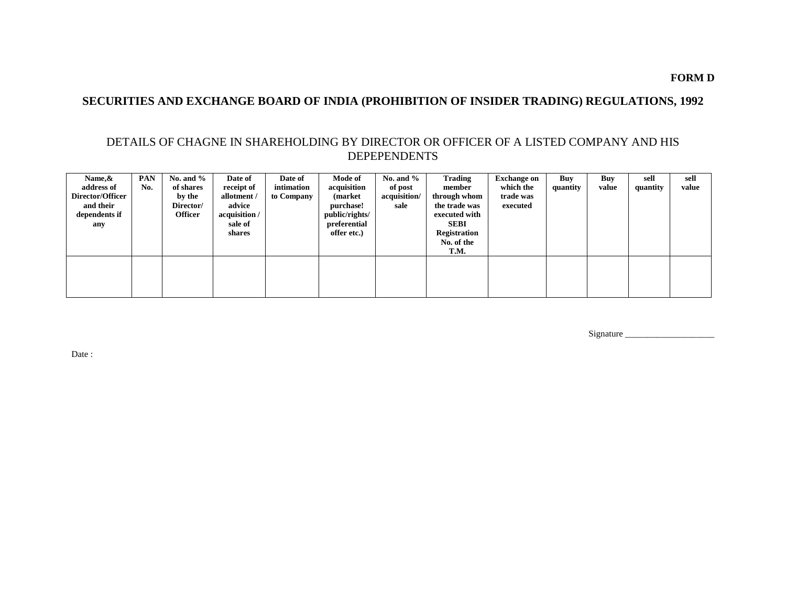## **SECURITIES AND EXCHANGE BOARD OF INDIA (PROHIBITION OF INSIDER TRADING) REGULATIONS, 1992**

## DETAILS OF CHAGNE IN SHAREHOLDING BY DIRECTOR OR OFFICER OF A LISTED COMPANY AND HIS DEPEPENDENTS

| Name, &<br>address of<br>Director/Officer<br>and their<br>dependents if<br>any | <b>PAN</b><br>No. | No. and $\%$<br>of shares<br>by the<br>Director/<br><b>Officer</b> | Date of<br>receipt of<br>allotment /<br>advice<br>acquisition /<br>sale of<br>shares | Date of<br>intimation<br>to Company | Mode of<br>acquisition<br>(market)<br>purchase!<br>public/rights/<br>preferential<br>offer etc.) | No. and $\%$<br>of post<br>acquisition/<br>sale | <b>Trading</b><br>member<br>through whom<br>the trade was<br>executed with<br><b>SEBI</b><br><b>Registration</b><br>No. of the<br>T.M. | <b>Exchange on</b><br>which the<br>trade was<br>executed | Buy<br>quantity | Buy<br>value | sell<br>quantity | sell<br>value |
|--------------------------------------------------------------------------------|-------------------|--------------------------------------------------------------------|--------------------------------------------------------------------------------------|-------------------------------------|--------------------------------------------------------------------------------------------------|-------------------------------------------------|----------------------------------------------------------------------------------------------------------------------------------------|----------------------------------------------------------|-----------------|--------------|------------------|---------------|
|                                                                                |                   |                                                                    |                                                                                      |                                     |                                                                                                  |                                                 |                                                                                                                                        |                                                          |                 |              |                  |               |

Signature \_\_\_\_\_\_\_\_\_\_\_\_\_\_\_\_\_\_\_\_

Date: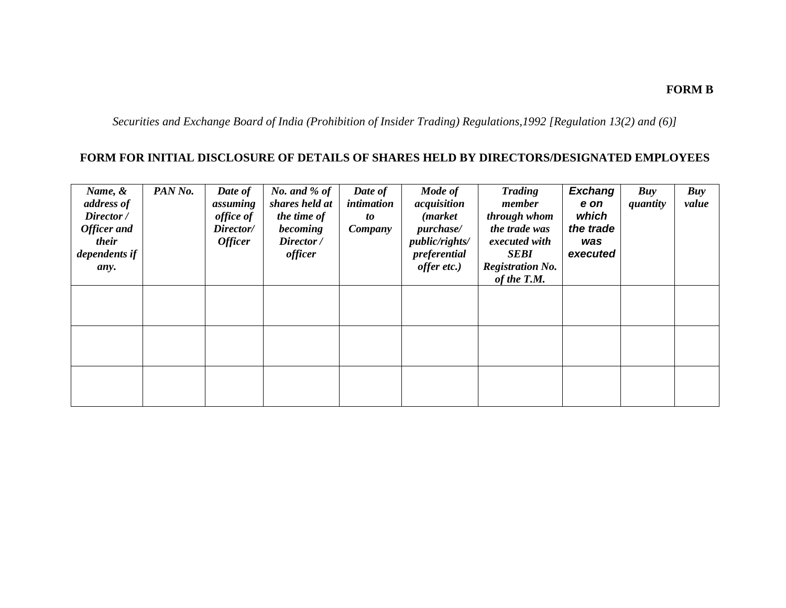## **FORM B**

*Securities and Exchange Board of India (Prohibition of Insider Trading) Regulations,1992 [Regulation 13(2) and (6)]*

# **FORM FOR INITIAL DISCLOSURE OF DETAILS OF SHARES HELD BY DIRECTORS/DESIGNATED EMPLOYEES**

| Name, &<br>address of<br>Director /<br><b>Officer</b> and<br>their<br>dependents if<br>any. | PAN No. | Date of<br>assuming<br>office of<br>Director/<br><b>Officer</b> | No. and $%$ of<br>shares held at<br>the time of<br>becoming<br>Director /<br>officer | Date of<br>intimation<br>to<br>Company | Mode of<br>acquisition<br>( <i>market</i><br><i>purchase/</i><br>public/rights/<br>preferential<br>offer etc.) | <b>Trading</b><br>member<br>through whom<br>the trade was<br>executed with<br><b>SEBI</b><br><b>Registration No.</b><br>of the T.M. | <b>Exchang</b><br>e on<br>which<br>the trade<br>was<br>executed | Buy<br>quantity | Buy<br>value |
|---------------------------------------------------------------------------------------------|---------|-----------------------------------------------------------------|--------------------------------------------------------------------------------------|----------------------------------------|----------------------------------------------------------------------------------------------------------------|-------------------------------------------------------------------------------------------------------------------------------------|-----------------------------------------------------------------|-----------------|--------------|
|                                                                                             |         |                                                                 |                                                                                      |                                        |                                                                                                                |                                                                                                                                     |                                                                 |                 |              |
|                                                                                             |         |                                                                 |                                                                                      |                                        |                                                                                                                |                                                                                                                                     |                                                                 |                 |              |
|                                                                                             |         |                                                                 |                                                                                      |                                        |                                                                                                                |                                                                                                                                     |                                                                 |                 |              |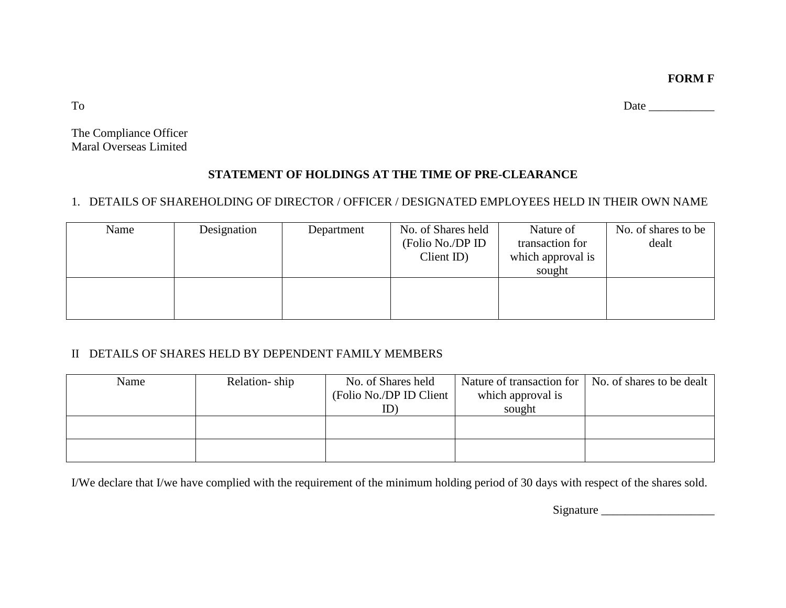**FORM F**

To Date \_\_\_\_\_\_\_\_\_\_\_

The Compliance Officer Maral Overseas Limited

# **STATEMENT OF HOLDINGS AT THE TIME OF PRE-CLEARANCE**

# 1. DETAILS OF SHAREHOLDING OF DIRECTOR / OFFICER / DESIGNATED EMPLOYEES HELD IN THEIR OWN NAME

| Name | Designation | Department | No. of Shares held<br>(Folio No./DP ID<br>$Client$ ID) | Nature of<br>transaction for<br>which approval is<br>sought | No. of shares to be<br>dealt |
|------|-------------|------------|--------------------------------------------------------|-------------------------------------------------------------|------------------------------|
|      |             |            |                                                        |                                                             |                              |

## II DETAILS OF SHARES HELD BY DEPENDENT FAMILY MEMBERS

| Name | Relation-ship | No. of Shares held       | Nature of transaction for   No. of shares to be dealt |  |
|------|---------------|--------------------------|-------------------------------------------------------|--|
|      |               | (Folio No./DP ID Client) | which approval is                                     |  |
|      |               | ID)                      | sought                                                |  |
|      |               |                          |                                                       |  |
|      |               |                          |                                                       |  |
|      |               |                          |                                                       |  |
|      |               |                          |                                                       |  |

I/We declare that I/we have complied with the requirement of the minimum holding period of 30 days with respect of the shares sold.

Signature \_\_\_\_\_\_\_\_\_\_\_\_\_\_\_\_\_\_\_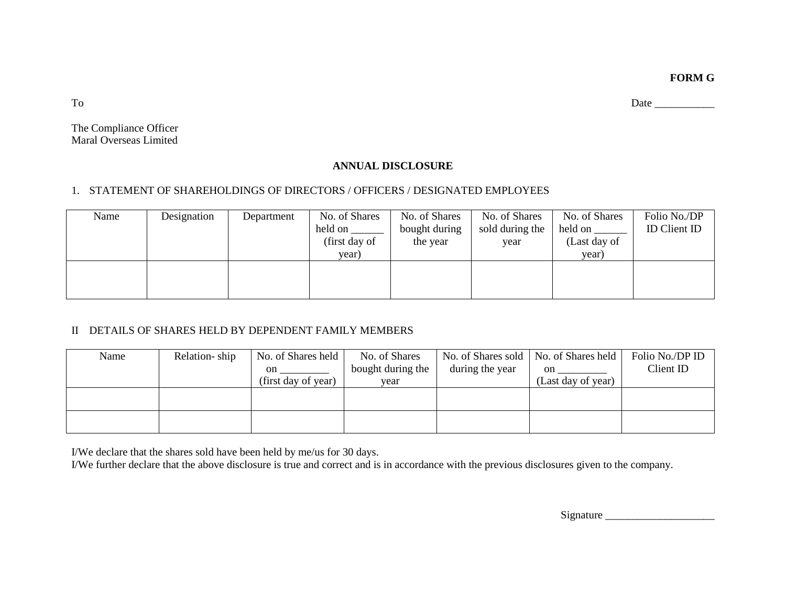**FORM G**

To Date \_\_\_\_\_\_\_\_\_\_\_

The Compliance Officer Maral Overseas Limited

## **ANNUAL DISCLOSURE**

## 1. STATEMENT OF SHAREHOLDINGS OF DIRECTORS / OFFICERS / DESIGNATED EMPLOYEES

| Name | Designation | Department | No. of Shares | No. of Shares | No. of Shares   | No. of Shares | Folio No./DP               |
|------|-------------|------------|---------------|---------------|-----------------|---------------|----------------------------|
|      |             |            | held on       | bought during | sold during the | held on       | <b>ID</b> Client <b>ID</b> |
|      |             |            | (first day of | the year      | year            | (Last day of  |                            |
|      |             |            | year)         |               |                 | year)         |                            |
|      |             |            |               |               |                 |               |                            |
|      |             |            |               |               |                 |               |                            |
|      |             |            |               |               |                 |               |                            |

## II DETAILS OF SHARES HELD BY DEPENDENT FAMILY MEMBERS

| Name | Relation-ship | No. of Shares held  | No. of Shares     |                 | No. of Shares sold   No. of Shares held | Folio No./DP ID |
|------|---------------|---------------------|-------------------|-----------------|-----------------------------------------|-----------------|
|      |               | <sub>on</sub>       | bought during the | during the year | $\cdot$ on $\_\_$                       | Client ID       |
|      |               | (first day of year) | year              |                 | (Last day of year)                      |                 |
|      |               |                     |                   |                 |                                         |                 |
|      |               |                     |                   |                 |                                         |                 |
|      |               |                     |                   |                 |                                         |                 |
|      |               |                     |                   |                 |                                         |                 |

I/We declare that the shares sold have been held by me/us for 30 days.

I/We further declare that the above disclosure is true and correct and is in accordance with the previous disclosures given to the company.

Signature \_\_\_\_\_\_\_\_\_\_\_\_\_\_\_\_\_\_\_\_